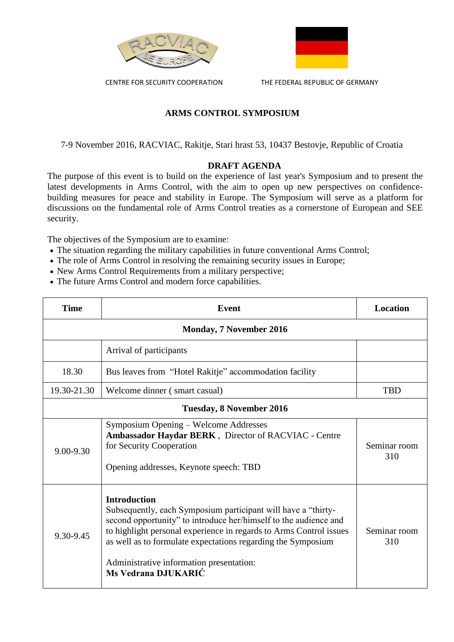

CENTRE FOR SECURITY COOPERATION THE FEDERAL REPUBLIC OF GERMANY



## **ARMS CONTROL SYMPOSIUM**

7-9 November 2016, RACVIAC, Rakitje, Stari hrast 53, 10437 Bestovje, Republic of Croatia

## **DRAFT AGENDA**

The purpose of this event is to build on the experience of last year's Symposium and to present the latest developments in Arms Control, with the aim to open up new perspectives on confidencebuilding measures for peace and stability in Europe. The Symposium will serve as a platform for discussions on the fundamental role of Arms Control treaties as a cornerstone of European and SEE security.

The objectives of the Symposium are to examine:

- The situation regarding the military capabilities in future conventional Arms Control;
- The role of Arms Control in resolving the remaining security issues in Europe;
- New Arms Control Requirements from a military perspective;
- The future Arms Control and modern force capabilities.

| <b>Time</b>                     | <b>Event</b>                                                                                                                                                                                                                                                                                                                                                      | <b>Location</b>     |  |  |
|---------------------------------|-------------------------------------------------------------------------------------------------------------------------------------------------------------------------------------------------------------------------------------------------------------------------------------------------------------------------------------------------------------------|---------------------|--|--|
| <b>Monday, 7 November 2016</b>  |                                                                                                                                                                                                                                                                                                                                                                   |                     |  |  |
|                                 | Arrival of participants                                                                                                                                                                                                                                                                                                                                           |                     |  |  |
| 18.30                           | Bus leaves from "Hotel Rakitje" accommodation facility                                                                                                                                                                                                                                                                                                            |                     |  |  |
| 19.30-21.30                     | Welcome dinner (smart casual)                                                                                                                                                                                                                                                                                                                                     | <b>TBD</b>          |  |  |
| <b>Tuesday, 8 November 2016</b> |                                                                                                                                                                                                                                                                                                                                                                   |                     |  |  |
| 9.00-9.30                       | Symposium Opening - Welcome Addresses<br>Ambassador Haydar BERK, Director of RACVIAC - Centre<br>for Security Cooperation<br>Opening addresses, Keynote speech: TBD                                                                                                                                                                                               | Seminar room<br>310 |  |  |
| 9.30-9.45                       | <b>Introduction</b><br>Subsequently, each Symposium participant will have a "thirty-<br>second opportunity" to introduce her/himself to the audience and<br>to highlight personal experience in regards to Arms Control issues<br>as well as to formulate expectations regarding the Symposium<br>Administrative information presentation:<br>Ms Vedrana DJUKARIĆ | Seminar room<br>310 |  |  |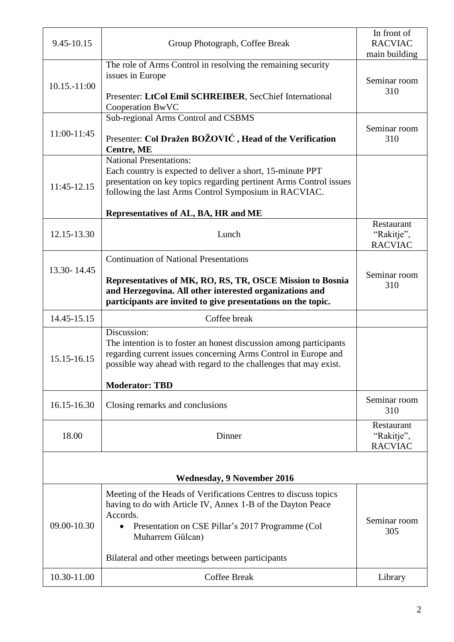| 9.45-10.15                        | Group Photograph, Coffee Break                                                                                                                                                                                                                                                       | In front of<br><b>RACVIAC</b><br>main building |  |  |
|-----------------------------------|--------------------------------------------------------------------------------------------------------------------------------------------------------------------------------------------------------------------------------------------------------------------------------------|------------------------------------------------|--|--|
| 10.15.-11:00                      | The role of Arms Control in resolving the remaining security<br>issues in Europe<br>Presenter: LtCol Emil SCHREIBER, SecChief International<br>Cooperation BwVC                                                                                                                      | Seminar room<br>310                            |  |  |
| 11:00-11:45                       | Sub-regional Arms Control and CSBMS<br>Presenter: Col Dražen BOŽOVIĆ, Head of the Verification<br><b>Centre, ME</b>                                                                                                                                                                  | Seminar room<br>310                            |  |  |
| 11:45-12.15                       | <b>National Presentations:</b><br>Each country is expected to deliver a short, 15-minute PPT<br>presentation on key topics regarding pertinent Arms Control issues<br>following the last Arms Control Symposium in RACVIAC.<br>Representatives of AL, BA, HR and ME                  |                                                |  |  |
| 12.15-13.30                       | Lunch                                                                                                                                                                                                                                                                                | Restaurant<br>"Rakitje",<br><b>RACVIAC</b>     |  |  |
| 13.30-14.45                       | <b>Continuation of National Presentations</b><br>Representatives of MK, RO, RS, TR, OSCE Mission to Bosnia<br>and Herzegovina. All other interested organizations and<br>participants are invited to give presentations on the topic.                                                | Seminar room<br>310                            |  |  |
| 14.45-15.15                       | Coffee break                                                                                                                                                                                                                                                                         |                                                |  |  |
| 15.15-16.15                       | Discussion:<br>The intention is to foster an honest discussion among participants<br>regarding current issues concerning Arms Control in Europe and<br>possible way ahead with regard to the challenges that may exist.<br><b>Moderator: TBD</b>                                     |                                                |  |  |
| 16.15-16.30                       | Closing remarks and conclusions                                                                                                                                                                                                                                                      | Seminar room<br>310                            |  |  |
| 18.00                             | Dinner                                                                                                                                                                                                                                                                               | Restaurant<br>"Rakitje",<br><b>RACVIAC</b>     |  |  |
| <b>Wednesday, 9 November 2016</b> |                                                                                                                                                                                                                                                                                      |                                                |  |  |
| 09.00-10.30                       | Meeting of the Heads of Verifications Centres to discuss topics<br>having to do with Article IV, Annex 1-B of the Dayton Peace<br>Accords.<br>Presentation on CSE Pillar's 2017 Programme (Col<br>$\bullet$<br>Muharrem Gülcan)<br>Bilateral and other meetings between participants | Seminar room<br>305                            |  |  |
| 10.30-11.00                       | Coffee Break                                                                                                                                                                                                                                                                         | Library                                        |  |  |